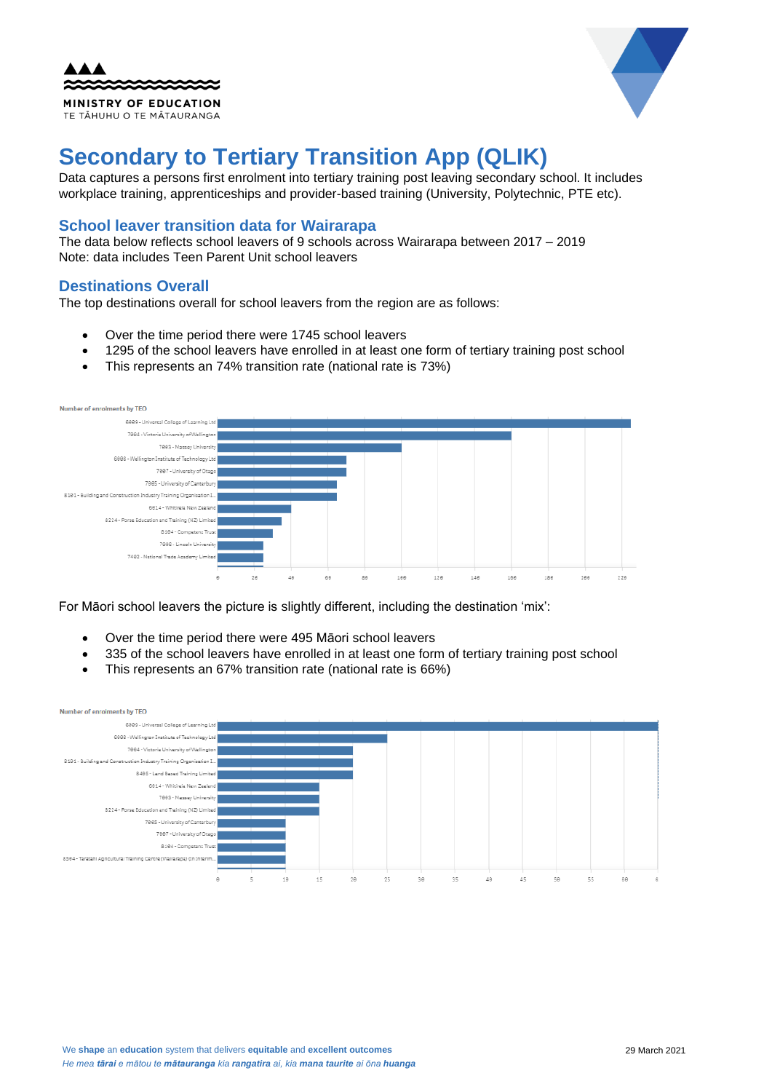| <b>AAA</b>                   |
|------------------------------|
|                              |
| <b>MINISTRY OF EDUCATION</b> |
| TE TĂHUHU O TE MĂTAURANGA    |



# **Secondary to Tertiary Transition App (QLIK)**

Data captures a persons first enrolment into tertiary training post leaving secondary school. It includes workplace training, apprenticeships and provider-based training (University, Polytechnic, PTE etc).

### **School leaver transition data for Wairarapa**

The data below reflects school leavers of 9 schools across Wairarapa between 2017 – 2019 Note: data includes Teen Parent Unit school leavers

## **Destinations Overall**

The top destinations overall for school leavers from the region are as follows:

- Over the time period there were 1745 school leavers
- 1295 of the school leavers have enrolled in at least one form of tertiary training post school
- This represents an 74% transition rate (national rate is 73%)



For Māori school leavers the picture is slightly different, including the destination 'mix':

- Over the time period there were 495 Māori school leavers
- 335 of the school leavers have enrolled in at least one form of tertiary training post school
- This represents an 67% transition rate (national rate is 66%)

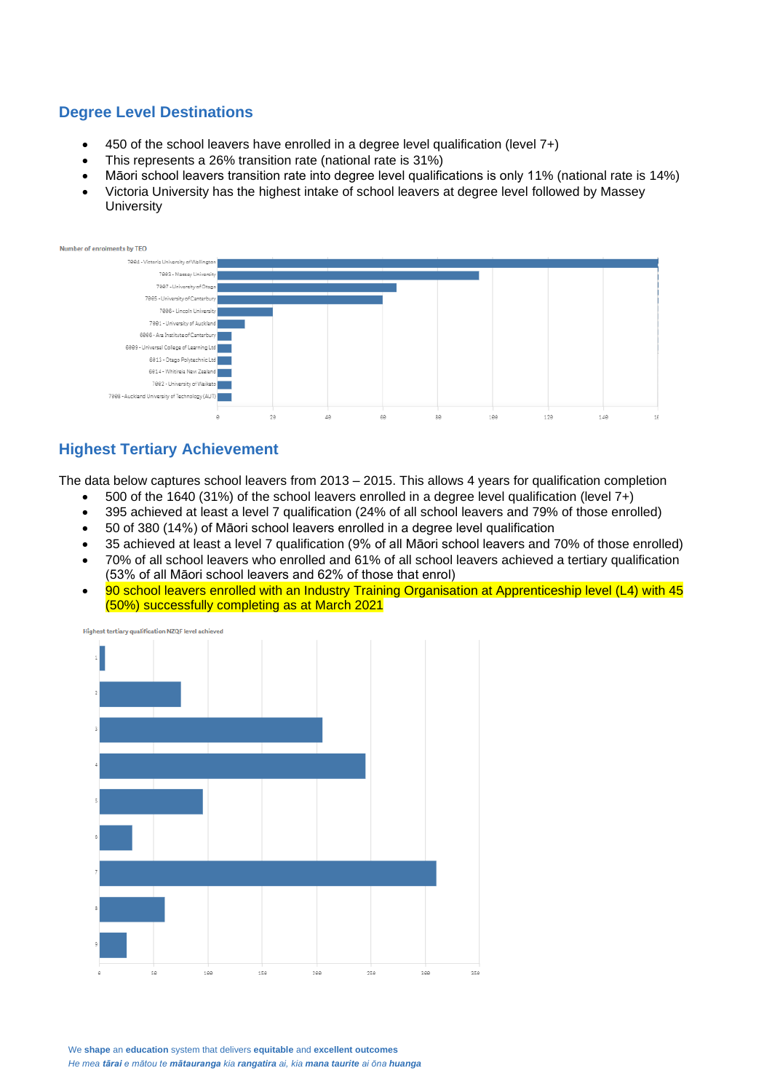## **Degree Level Destinations**

- 450 of the school leavers have enrolled in a degree level qualification (level 7+)
- This represents a 26% transition rate (national rate is 31%)
- Māori school leavers transition rate into degree level qualifications is only 11% (national rate is 14%)
- Victoria University has the highest intake of school leavers at degree level followed by Massey **University**



## **Highest Tertiary Achievement**

The data below captures school leavers from 2013 – 2015. This allows 4 years for qualification completion

- 500 of the 1640 (31%) of the school leavers enrolled in a degree level qualification (level 7+)
- 395 achieved at least a level 7 qualification (24% of all school leavers and 79% of those enrolled)
- 50 of 380 (14%) of Māori school leavers enrolled in a degree level qualification
- 35 achieved at least a level 7 qualification (9% of all Māori school leavers and 70% of those enrolled)
- 70% of all school leavers who enrolled and 61% of all school leavers achieved a tertiary qualification (53% of all Māori school leavers and 62% of those that enrol)
- 90 school leavers enrolled with an Industry Training Organisation at Apprenticeship level (L4) with 45 (50%) successfully completing as at March 2021



We **shape** an **education** system that delivers **equitable** and **excellent outcomes** *He mea tārai e mātou te mātauranga kia rangatira ai, kia mana taurite ai ōna huanga*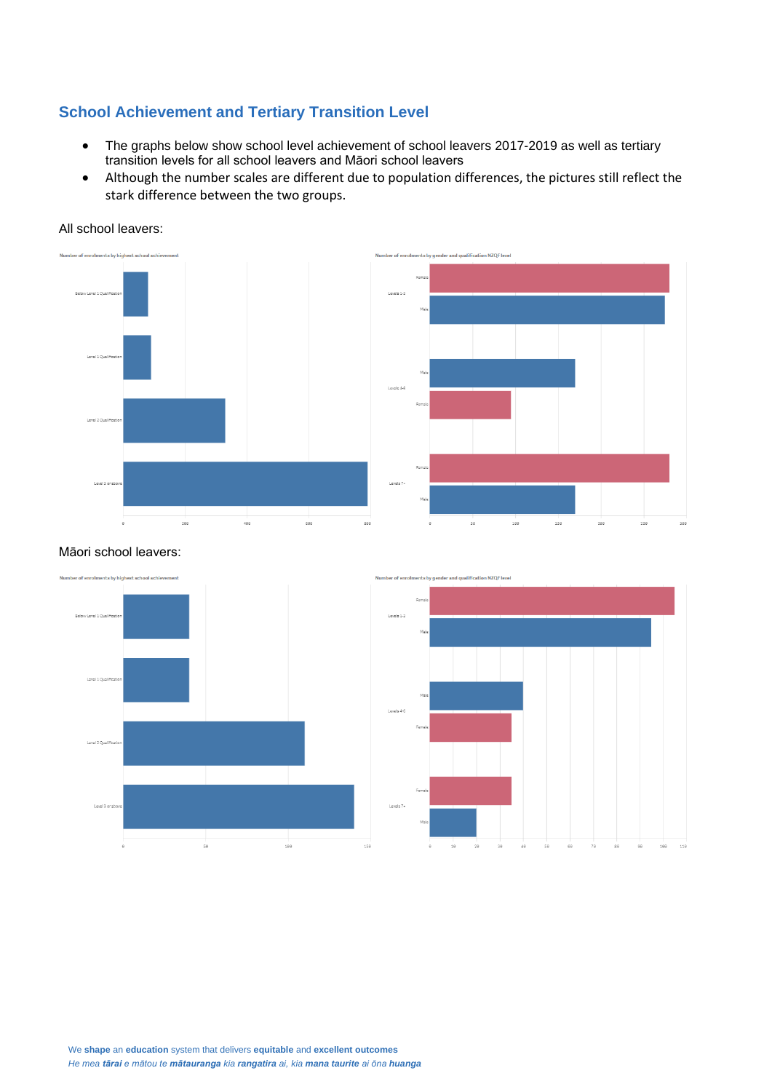## **School Achievement and Tertiary Transition Level**

- The graphs below show school level achievement of school leavers 2017-2019 as well as tertiary transition levels for all school leavers and Māori school leavers
- Although the number scales are different due to population differences, the pictures still reflect the stark difference between the two groups.

All school leavers:





#### Māori school leavers:



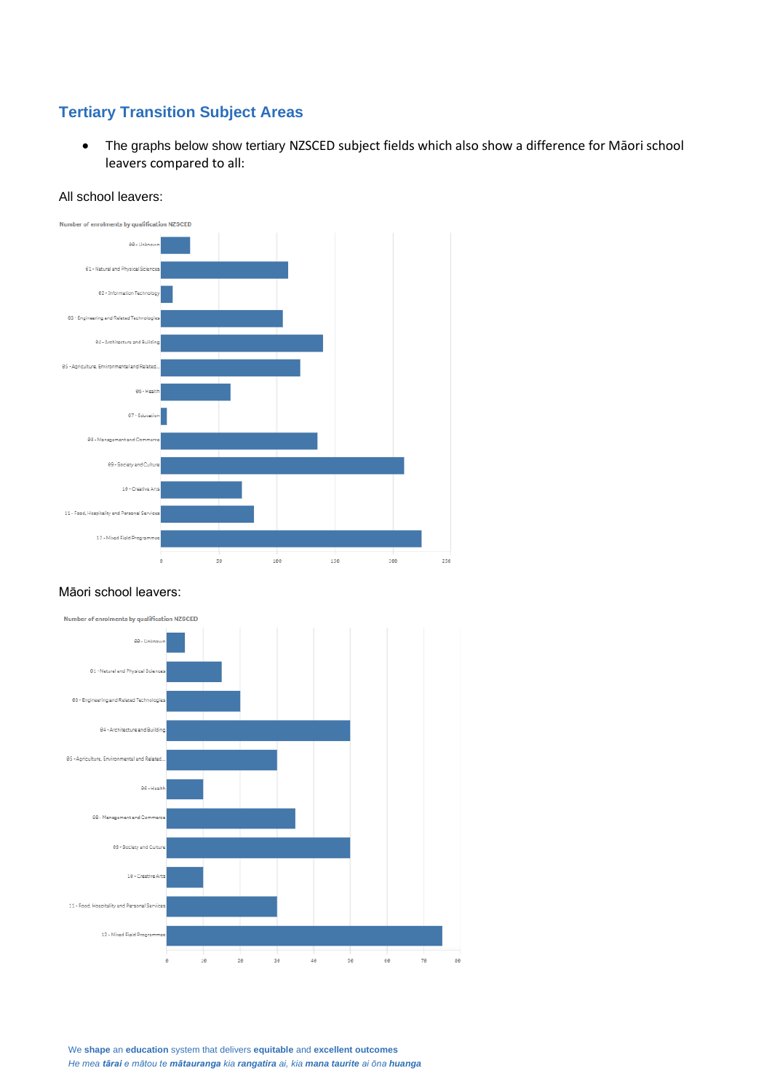# **Tertiary Transition Subject Areas**

• The graphs below show tertiary NZSCED subject fields which also show a difference for Māori school leavers compared to all:



#### All school leavers:

#### Māori school leavers:



We **shape** an **education** system that delivers **equitable** and **excellent outcomes** *He mea tārai e mātou te mātauranga kia rangatira ai, kia mana taurite ai ōna huanga*